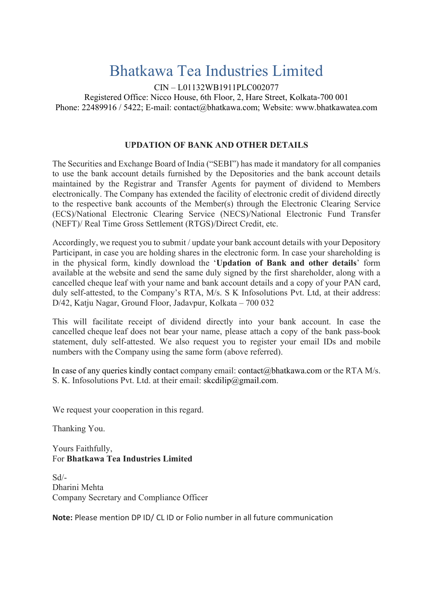## Bhatkawa Tea Industries Limited

CIN – L01132WB1911PLC002077 Registered Office: Nicco House, 6th Floor, 2, Hare Street, Kolkata-700 001 Phone: 22489916 / 5422; E-mail: contact@bhatkawa.com; Website: www.bhatkawatea.com

## UPDATION OF BANK AND OTHER DETAILS

The Securities and Exchange Board of India ("SEBI") has made it mandatory for all companies to use the bank account details furnished by the Depositories and the bank account details maintained by the Registrar and Transfer Agents for payment of dividend to Members electronically. The Company has extended the facility of electronic credit of dividend directly to the respective bank accounts of the Member(s) through the Electronic Clearing Service (ECS)/National Electronic Clearing Service (NECS)/National Electronic Fund Transfer (NEFT)/ Real Time Gross Settlement (RTGS)/Direct Credit, etc.

Accordingly, we request you to submit / update your bank account details with your Depository Participant, in case you are holding shares in the electronic form. In case your shareholding is in the physical form, kindly download the 'Updation of Bank and other details' form available at the website and send the same duly signed by the first shareholder, along with a cancelled cheque leaf with your name and bank account details and a copy of your PAN card, duly self-attested, to the Company's RTA, M/s. S K Infosolutions Pvt. Ltd, at their address: D/42, Katju Nagar, Ground Floor, Jadavpur, Kolkata – 700 032

This will facilitate receipt of dividend directly into your bank account. In case the cancelled cheque leaf does not bear your name, please attach a copy of the bank pass-book statement, duly self-attested. We also request you to register your email IDs and mobile numbers with the Company using the same form (above referred).

In case of any queries kindly contact company email: contact@bhatkawa.com or the RTA M/s. S. K. Infosolutions Pvt. Ltd. at their email: skcdilip@gmail.com.

We request your cooperation in this regard.

Thanking You.

Yours Faithfully, For Bhatkawa Tea Industries Limited

Sd/- Dharini Mehta Company Secretary and Compliance Officer

Note: Please mention DP ID/ CL ID or Folio number in all future communication